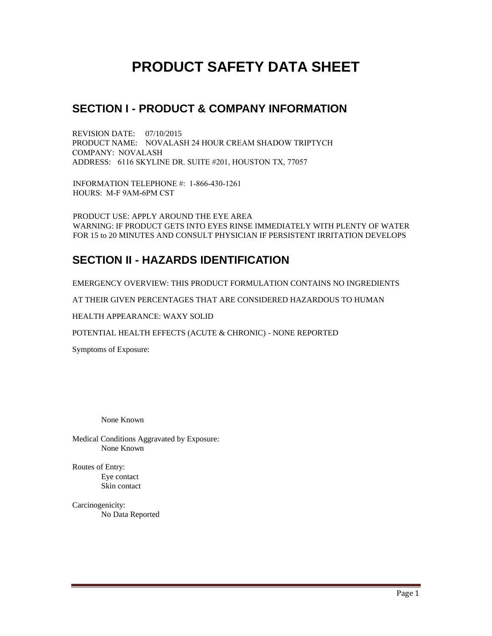# **PRODUCT SAFETY DATA SHEET**

## **SECTION I - PRODUCT & COMPANY INFORMATION**

REVISION DATE: 07/10/2015 PRODUCT NAME: NOVALASH 24 HOUR CREAM SHADOW TRIPTYCH COMPANY: NOVALASH ADDRESS: 6116 SKYLINE DR. SUITE #201, HOUSTON TX, 77057

INFORMATION TELEPHONE #: 1-866-430-1261 HOURS: M-F 9AM-6PM CST

PRODUCT USE: APPLY AROUND THE EYE AREA WARNING: IF PRODUCT GETS INTO EYES RINSE IMMEDIATELY WITH PLENTY OF WATER FOR 15 to 20 MINUTES AND CONSULT PHYSICIAN IF PERSISTENT IRRITATION DEVELOPS

# **SECTION II - HAZARDS IDENTIFICATION**

EMERGENCY OVERVIEW: THIS PRODUCT FORMULATION CONTAINS NO INGREDIENTS

AT THEIR GIVEN PERCENTAGES THAT ARE CONSIDERED HAZARDOUS TO HUMAN

HEALTH APPEARANCE: WAXY SOLID

POTENTIAL HEALTH EFFECTS (ACUTE & CHRONIC) - NONE REPORTED

Symptoms of Exposure:

None Known

Medical Conditions Aggravated by Exposure: None Known

Routes of Entry: Eye contact Skin contact

Carcinogenicity: No Data Reported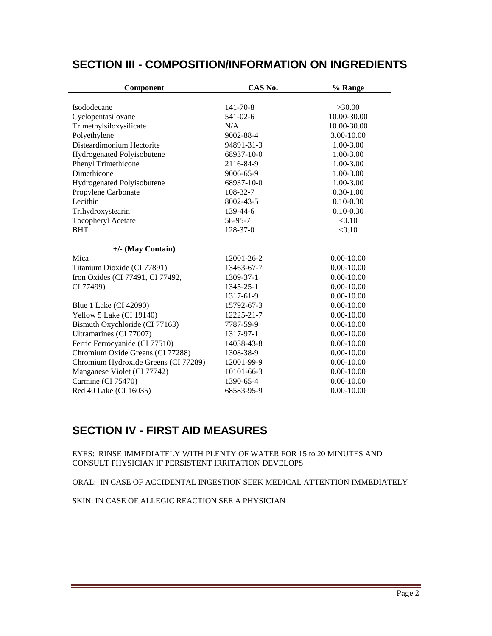## **SECTION III - COMPOSITION/INFORMATION ON INGREDIENTS**

| Component                            | CAS No.        | % Range        |
|--------------------------------------|----------------|----------------|
|                                      |                |                |
| Isododecane                          | $141 - 70 - 8$ | >30.00         |
| Cyclopentasiloxane                   | 541-02-6       | 10.00-30.00    |
| Trimethylsiloxysilicate              | N/A            | 10.00-30.00    |
| Polyethylene                         | 9002-88-4      | 3.00-10.00     |
| Disteardimonium Hectorite            | 94891-31-3     | 1.00-3.00      |
| Hydrogenated Polyisobutene           | 68937-10-0     | 1.00-3.00      |
| Phenyl Trimethicone                  | 2116-84-9      | 1.00-3.00      |
| Dimethicone                          | 9006-65-9      | 1.00-3.00      |
| Hydrogenated Polyisobutene           | 68937-10-0     | 1.00-3.00      |
| Propylene Carbonate                  | 108-32-7       | $0.30 - 1.00$  |
| Lecithin                             | 8002-43-5      | $0.10 - 0.30$  |
| Trihydroxystearin                    | 139-44-6       | $0.10 - 0.30$  |
| <b>Tocopheryl Acetate</b>            | 58-95-7        | < 0.10         |
| <b>BHT</b>                           | 128-37-0       | < 0.10         |
| $+/-$ (May Contain)                  |                |                |
| Mica                                 | 12001-26-2     | $0.00 - 10.00$ |
| Titanium Dioxide (CI 77891)          | 13463-67-7     | $0.00 - 10.00$ |
| Iron Oxides (CI 77491, CI 77492,     | 1309-37-1      | $0.00 - 10.00$ |
| CI 77499)                            | 1345-25-1      | $0.00 - 10.00$ |
|                                      | 1317-61-9      | $0.00 - 10.00$ |
| Blue 1 Lake (CI 42090)               | 15792-67-3     | $0.00 - 10.00$ |
| Yellow 5 Lake (CI 19140)             | 12225-21-7     | $0.00 - 10.00$ |
| Bismuth Oxychloride (CI 77163)       | 7787-59-9      | $0.00 - 10.00$ |
| Ultramarines (CI 77007)              | 1317-97-1      | $0.00 - 10.00$ |
| Ferric Ferrocyanide (CI 77510)       | 14038-43-8     | $0.00 - 10.00$ |
| Chromium Oxide Greens (CI 77288)     | 1308-38-9      | $0.00 - 10.00$ |
| Chromium Hydroxide Greens (CI 77289) | 12001-99-9     | $0.00 - 10.00$ |
| Manganese Violet (CI 77742)          | 10101-66-3     | $0.00 - 10.00$ |
| Carmine (CI 75470)                   | 1390-65-4      | $0.00 - 10.00$ |
| Red 40 Lake (CI 16035)               | 68583-95-9     | $0.00 - 10.00$ |

# **SECTION IV - FIRST AID MEASURES**

EYES: RINSE IMMEDIATELY WITH PLENTY OF WATER FOR 15 to 20 MINUTES AND CONSULT PHYSICIAN IF PERSISTENT IRRITATION DEVELOPS

ORAL: IN CASE OF ACCIDENTAL INGESTION SEEK MEDICAL ATTENTION IMMEDIATELY

SKIN: IN CASE OF ALLEGIC REACTION SEE A PHYSICIAN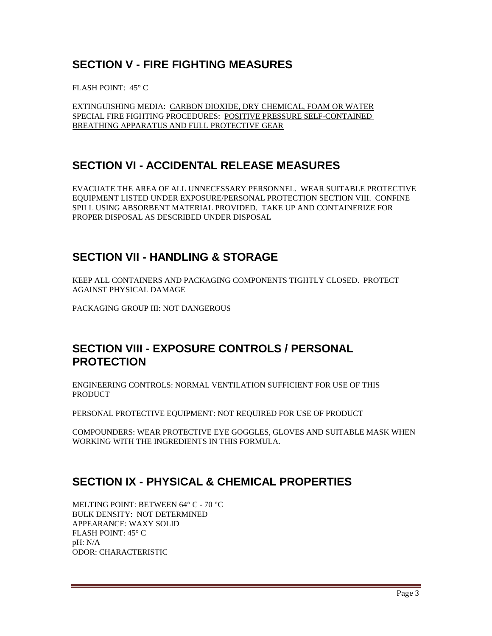## **SECTION V - FIRE FIGHTING MEASURES**

FLASH POINT: 45° C

EXTINGUISHING MEDIA: CARBON DIOXIDE, DRY CHEMICAL, FOAM OR WATER SPECIAL FIRE FIGHTING PROCEDURES: POSITIVE PRESSURE SELF-CONTAINED BREATHING APPARATUS AND FULL PROTECTIVE GEAR

#### **SECTION VI - ACCIDENTAL RELEASE MEASURES**

EVACUATE THE AREA OF ALL UNNECESSARY PERSONNEL. WEAR SUITABLE PROTECTIVE EQUIPMENT LISTED UNDER EXPOSURE/PERSONAL PROTECTION SECTION VIII. CONFINE SPILL USING ABSORBENT MATERIAL PROVIDED. TAKE UP AND CONTAINERIZE FOR PROPER DISPOSAL AS DESCRIBED UNDER DISPOSAL

#### **SECTION VII - HANDLING & STORAGE**

KEEP ALL CONTAINERS AND PACKAGING COMPONENTS TIGHTLY CLOSED. PROTECT AGAINST PHYSICAL DAMAGE

PACKAGING GROUP III: NOT DANGEROUS

## **SECTION VIII - EXPOSURE CONTROLS / PERSONAL PROTECTION**

ENGINEERING CONTROLS: NORMAL VENTILATION SUFFICIENT FOR USE OF THIS **PRODUCT** 

PERSONAL PROTECTIVE EQUIPMENT: NOT REQUIRED FOR USE OF PRODUCT

COMPOUNDERS: WEAR PROTECTIVE EYE GOGGLES, GLOVES AND SUITABLE MASK WHEN WORKING WITH THE INGREDIENTS IN THIS FORMULA.

#### **SECTION IX - PHYSICAL & CHEMICAL PROPERTIES**

MELTING POINT: BETWEEN 64° C - 70 °C BULK DENSITY: NOT DETERMINED APPEARANCE: WAXY SOLID FLASH POINT: 45° C pH: N/A ODOR: CHARACTERISTIC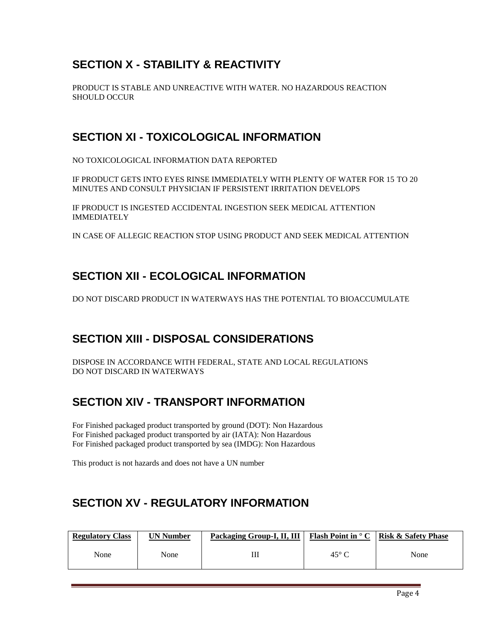# **SECTION X - STABILITY & REACTIVITY**

PRODUCT IS STABLE AND UNREACTIVE WITH WATER. NO HAZARDOUS REACTION SHOULD OCCUR

#### **SECTION XI - TOXICOLOGICAL INFORMATION**

NO TOXICOLOGICAL INFORMATION DATA REPORTED

IF PRODUCT GETS INTO EYES RINSE IMMEDIATELY WITH PLENTY OF WATER FOR 15 TO 20 MINUTES AND CONSULT PHYSICIAN IF PERSISTENT IRRITATION DEVELOPS

IF PRODUCT IS INGESTED ACCIDENTAL INGESTION SEEK MEDICAL ATTENTION IMMEDIATELY

IN CASE OF ALLEGIC REACTION STOP USING PRODUCT AND SEEK MEDICAL ATTENTION

# **SECTION XII - ECOLOGICAL INFORMATION**

DO NOT DISCARD PRODUCT IN WATERWAYS HAS THE POTENTIAL TO BIOACCUMULATE

# **SECTION XIII - DISPOSAL CONSIDERATIONS**

DISPOSE IN ACCORDANCE WITH FEDERAL, STATE AND LOCAL REGULATIONS DO NOT DISCARD IN WATERWAYS

# **SECTION XIV - TRANSPORT INFORMATION**

For Finished packaged product transported by ground (DOT): Non Hazardous For Finished packaged product transported by air (IATA): Non Hazardous For Finished packaged product transported by sea (IMDG): Non Hazardous

This product is not hazards and does not have a UN number

# **SECTION XV - REGULATORY INFORMATION**

| <b>Regulatory Class</b> | UN Number | Packaging Group-I, II, III | <b>Flash Point in <math>\circ</math> C</b> | Risk & Safety Phase |
|-------------------------|-----------|----------------------------|--------------------------------------------|---------------------|
| None                    | None      | Ш                          | 45 $\degree$ C                             | None                |